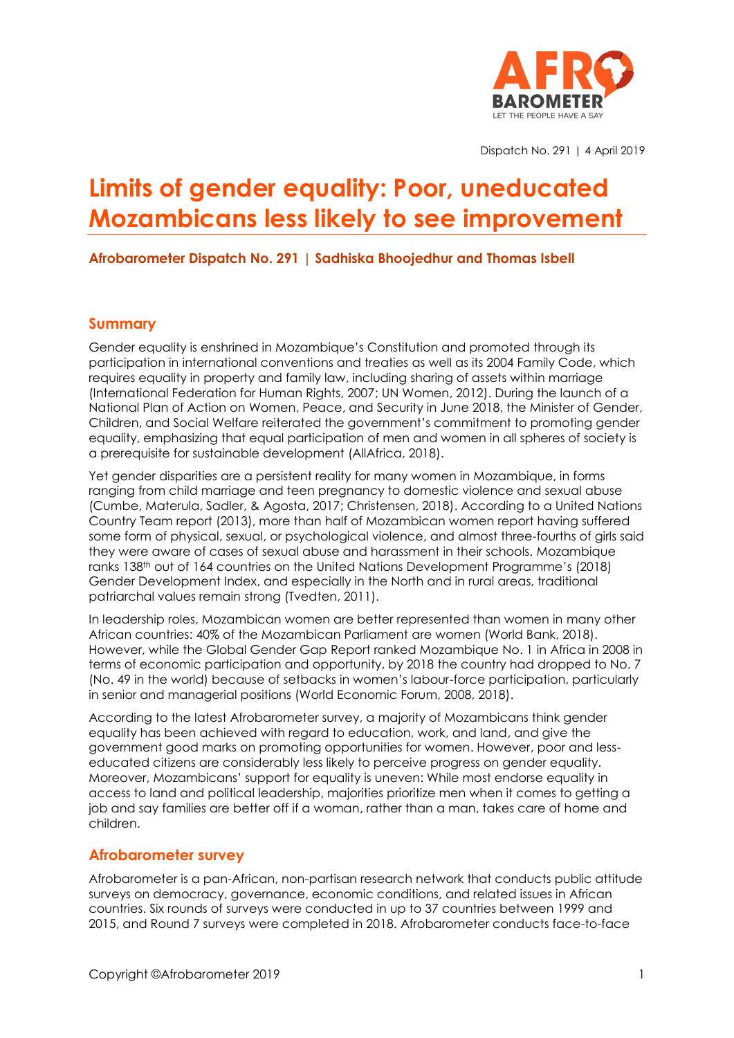

Dispatch No. 291 | 4 April 2019

# **Limits of gender equality: Poor, uneducated Mozambicans less likely to see improvement**

**Afrobarometer Dispatch No. 291 | Sadhiska Bhoojedhur and Thomas Isbell**

## **Summary**

Gender equality is enshrined in Mozambique's Constitution and promoted through its participation in international conventions and treaties as well as its 2004 Family Code, which requires equality in property and family law, including sharing of assets within marriage (International Federation for Human Rights, 2007; UN Women, 2012). During the launch of a National Plan of Action on Women, Peace, and Security in June 2018, the Minister of Gender, Children, and Social Welfare reiterated the government's commitment to promoting gender equality, emphasizing that equal participation of men and women in all spheres of society is a prerequisite for sustainable development (AllAfrica, 2018).

Yet gender disparities are a persistent reality for many women in Mozambique, in forms ranging from child marriage and teen pregnancy to domestic violence and sexual abuse (Cumbe, Materula, Sadler, & Agosta, 2017; Christensen, 2018). According to a United Nations Country Team report (2013), more than half of Mozambican women report having suffered some form of physical, sexual, or psychological violence, and almost three-fourths of girls said they were aware of cases of sexual abuse and harassment in their schools. Mozambique ranks 138th out of 164 countries on the United Nations Development Programme's (2018) Gender Development Index, and especially in the North and in rural areas, traditional patriarchal values remain strong (Tvedten, 2011).

In leadership roles, Mozambican women are better represented than women in many other African countries: 40% of the Mozambican Parliament are women (World Bank, 2018). However, while the Global Gender Gap Report ranked Mozambique No. 1 in Africa in 2008 in terms of economic participation and opportunity, by 2018 the country had dropped to No. 7 (No. 49 in the world) because of setbacks in women's labour-force participation, particularly in senior and managerial positions (World Economic Forum, 2008, 2018).

According to the latest Afrobarometer survey, a majority of Mozambicans think gender equality has been achieved with regard to education, work, and land, and give the government good marks on promoting opportunities for women. However, poor and lesseducated citizens are considerably less likely to perceive progress on gender equality. Moreover, Mozambicans' support for equality is uneven: While most endorse equality in access to land and political leadership, majorities prioritize men when it comes to getting a job and say families are better off if a woman, rather than a man, takes care of home and children.

## **Afrobarometer survey**

Afrobarometer is a pan-African, non-partisan research network that conducts public attitude surveys on democracy, governance, economic conditions, and related issues in African countries. Six rounds of surveys were conducted in up to 37 countries between 1999 and 2015, and Round 7 surveys were completed in 2018. Afrobarometer conducts face-to-face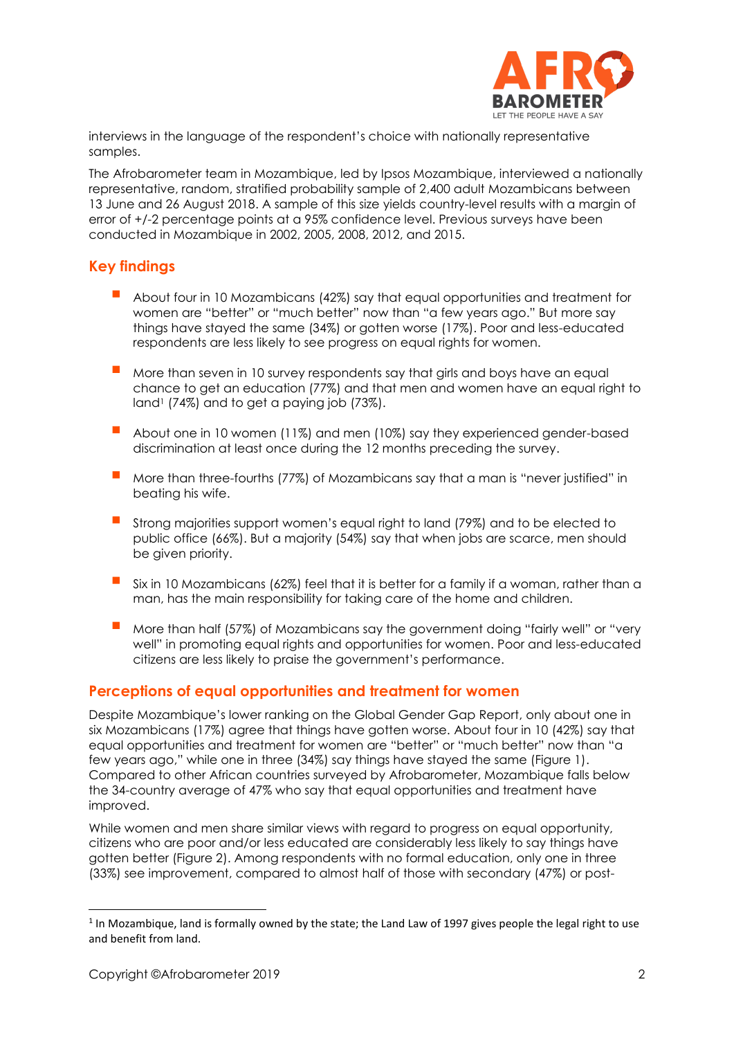

interviews in the language of the respondent's choice with nationally representative samples.

The Afrobarometer team in Mozambique, led by Ipsos Mozambique, interviewed a nationally representative, random, stratified probability sample of 2,400 adult Mozambicans between 13 June and 26 August 2018. A sample of this size yields country-level results with a margin of error of +/-2 percentage points at a 95% confidence level. Previous surveys have been conducted in Mozambique in 2002, 2005, 2008, 2012, and 2015.

## **Key findings**

- About four in 10 Mozambicans (42%) say that equal opportunities and treatment for women are "better" or "much better" now than "a few years ago." But more say things have stayed the same (34%) or gotten worse (17%). Poor and less-educated respondents are less likely to see progress on equal rights for women.
- More than seven in 10 survey respondents say that girls and boys have an equal chance to get an education (77%) and that men and women have an equal right to land<sup>1</sup> (74%) and to get a paying job (73%).
- About one in 10 women (11%) and men (10%) say they experienced gender-based discrimination at least once during the 12 months preceding the survey.
- More than three-fourths (77%) of Mozambicans say that a man is "never justified" in beating his wife.
- Strong majorities support women's equal right to land (79%) and to be elected to public office (66%). But a majority (54%) say that when jobs are scarce, men should be given priority.
- Six in 10 Mozambicans (62%) feel that it is better for a family if a woman, rather than a man, has the main responsibility for taking care of the home and children.
- More than half (57%) of Mozambicans say the government doing "fairly well" or "very well" in promoting equal rights and opportunities for women. Poor and less-educated citizens are less likely to praise the government's performance.

## **Perceptions of equal opportunities and treatment for women**

Despite Mozambique's lower ranking on the Global Gender Gap Report, only about one in six Mozambicans (17%) agree that things have gotten worse. About four in 10 (42%) say that equal opportunities and treatment for women are "better" or "much better" now than "a few years ago," while one in three (34%) say things have stayed the same (Figure 1). Compared to other African countries surveyed by Afrobarometer, Mozambique falls below the 34-country average of 47% who say that equal opportunities and treatment have improved.

While women and men share similar views with regard to progress on equal opportunity, citizens who are poor and/or less educated are considerably less likely to say things have gotten better (Figure 2). Among respondents with no formal education, only one in three (33%) see improvement, compared to almost half of those with secondary (47%) or post-

 $<sup>1</sup>$  In Mozambique, land is formally owned by the state; the Land Law of 1997 gives people the legal right to use</sup> and benefit from land.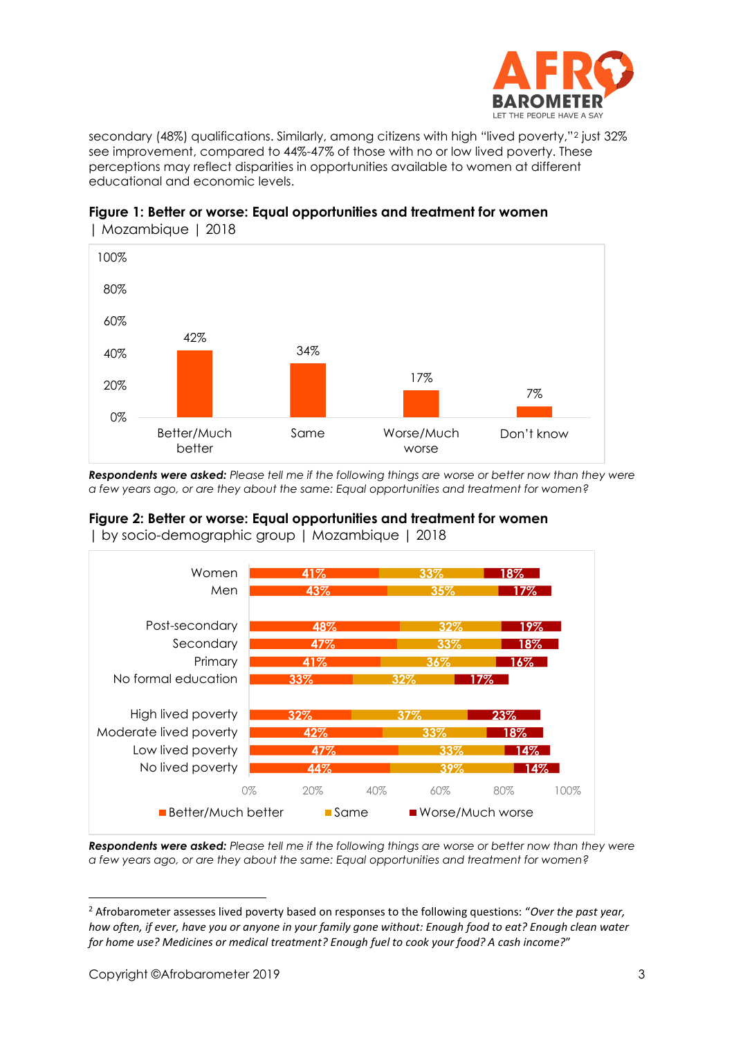

secondary (48%) qualifications. Similarly, among citizens with high "lived poverty,"<sup>2</sup> just 32% see improvement, compared to 44%-47% of those with no or low lived poverty. These perceptions may reflect disparities in opportunities available to women at different educational and economic levels.



#### **Figure 1: Better or worse: Equal opportunities and treatment for women**  | Mozambique | 2018

*Respondents were asked: Please tell me if the following things are worse or better now than they were a few years ago, or are they about the same: Equal opportunities and treatment for women?*

#### **Figure 2: Better or worse: Equal opportunities and treatment for women**



| by socio-demographic group | Mozambique | 2018

*Respondents were asked: Please tell me if the following things are worse or better now than they were a few years ago, or are they about the same: Equal opportunities and treatment for women?*

<sup>2</sup> Afrobarometer assesses lived poverty based on responses to the following questions: "*Over the past year, how often, if ever, have you or anyone in your family gone without: Enough food to eat? Enough clean water for home use? Medicines or medical treatment? Enough fuel to cook your food? A cash income?*"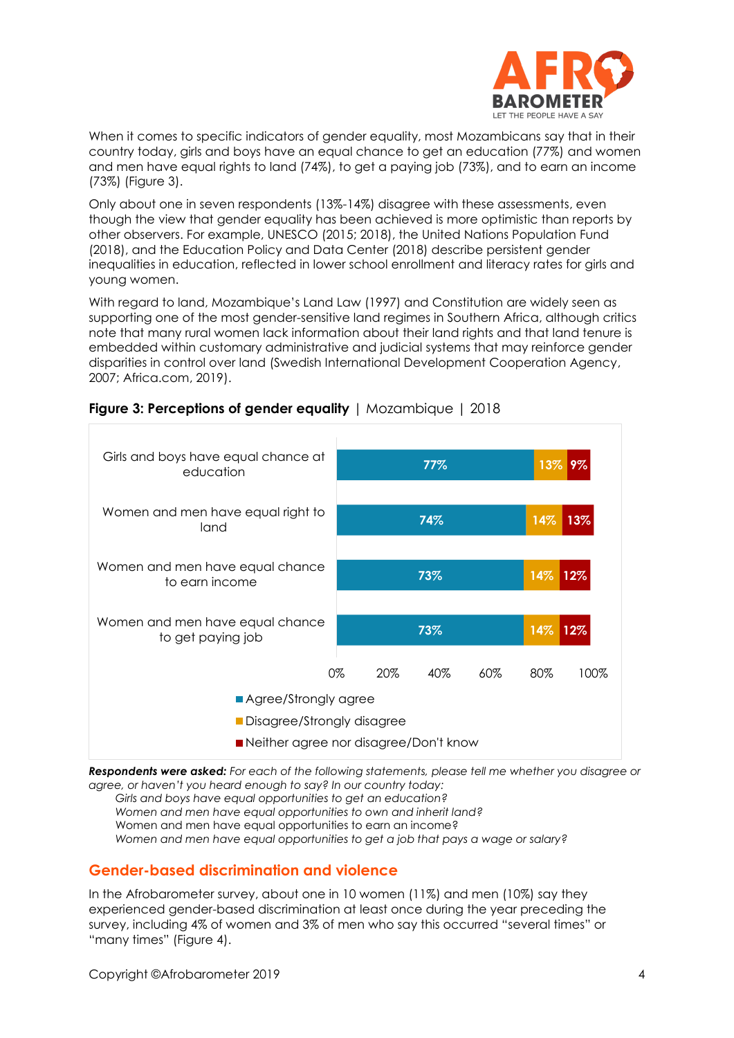

When it comes to specific indicators of gender equality, most Mozambicans say that in their country today, girls and boys have an equal chance to get an education (77%) and women and men have equal rights to land (74%), to get a paying job (73%), and to earn an income (73%) (Figure 3).

Only about one in seven respondents (13%-14%) disagree with these assessments, even though the view that gender equality has been achieved is more optimistic than reports by other observers. For example, UNESCO (2015; 2018), the United Nations Population Fund (2018), and the Education Policy and Data Center (2018) describe persistent gender inequalities in education, reflected in lower school enrollment and literacy rates for girls and young women.

With regard to land, Mozambique's Land Law (1997) and Constitution are widely seen as supporting one of the most gender-sensitive land regimes in Southern Africa, although critics note that many rural women lack information about their land rights and that land tenure is embedded within customary administrative and judicial systems that may reinforce gender disparities in control over land (Swedish International Development Cooperation Agency, 2007; Africa.com, 2019).



## **Figure 3: Perceptions of gender equality** | Mozambique | 2018

*Respondents were asked: For each of the following statements, please tell me whether you disagree or agree, or haven't you heard enough to say? In our country today:*

*Girls and boys have equal opportunities to get an education? Women and men have equal opportunities to own and inherit land?* Women and men have equal opportunities to earn an income? *Women and men have equal opportunities to get a job that pays a wage or salary?*

## **Gender-based discrimination and violence**

In the Afrobarometer survey, about one in 10 women (11%) and men (10%) say they experienced gender-based discrimination at least once during the year preceding the survey, including 4% of women and 3% of men who say this occurred "several times" or "many times" (Figure 4).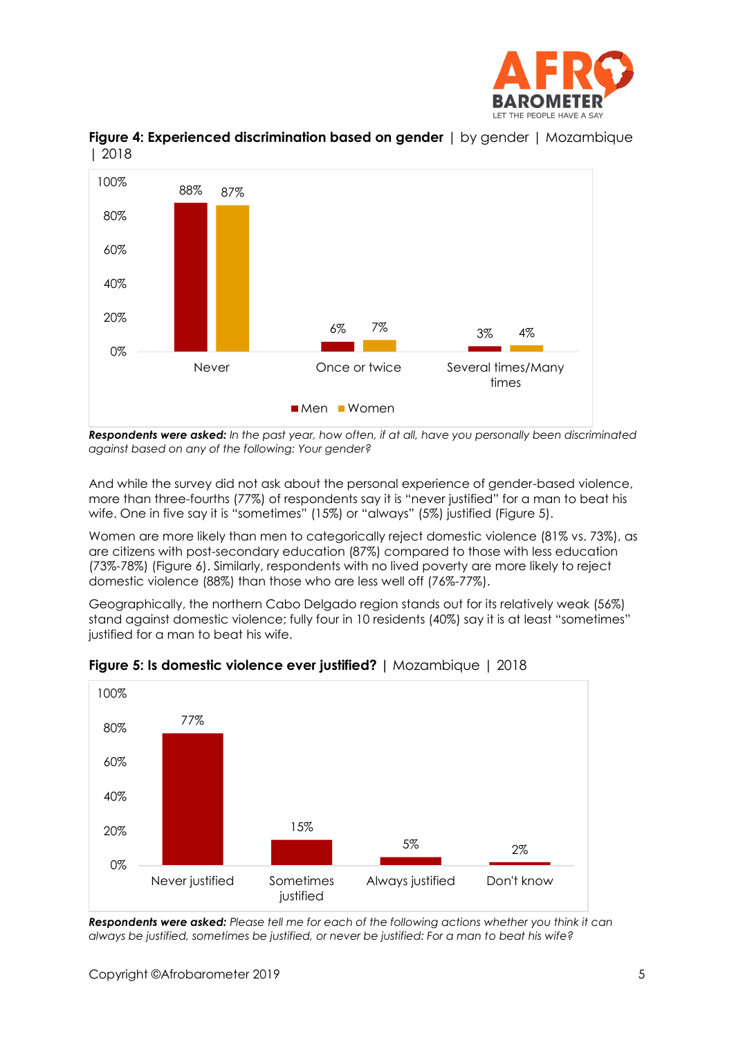



**Figure 4: Experienced discrimination based on gender** | by gender | Mozambique | 2018

*Respondents were asked: In the past year, how often, if at all, have you personally been discriminated against based on any of the following: Your gender?*

And while the survey did not ask about the personal experience of gender-based violence, more than three-fourths (77%) of respondents say it is "never justified" for a man to beat his wife. One in five say it is "sometimes" (15%) or "always" (5%) justified (Figure 5).

Women are more likely than men to categorically reject domestic violence (81% vs. 73%), as are citizens with post-secondary education (87%) compared to those with less education (73%-78%) (Figure 6). Similarly, respondents with no lived poverty are more likely to reject domestic violence (88%) than those who are less well off (76%-77%).

Geographically, the northern Cabo Delgado region stands out for its relatively weak (56%) stand against domestic violence; fully four in 10 residents (40%) say it is at least "sometimes" justified for a man to beat his wife.



**Figure 5: Is domestic violence ever justified? |** Mozambique | 2018

*Respondents were asked: Please tell me for each of the following actions whether you think it can always be justified, sometimes be justified, or never be justified: For a man to beat his wife?*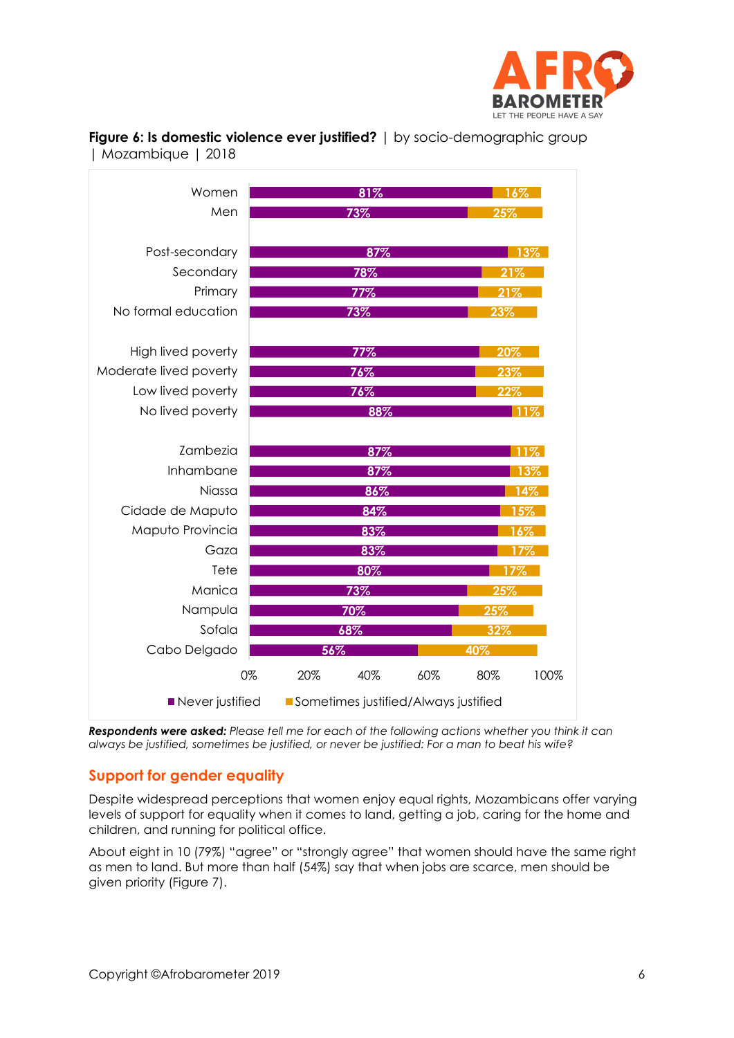

| Women                  | 81%                                  | $16\%$             |  |
|------------------------|--------------------------------------|--------------------|--|
| Men                    | 73%                                  | 25%                |  |
|                        |                                      |                    |  |
| Post-secondary         | 87%                                  | 13%                |  |
| Secondary              | 78%                                  | 21%                |  |
| Primary                | 77%                                  | 21%                |  |
| No formal education    | 73%                                  | 23%                |  |
|                        |                                      |                    |  |
| High lived poverty     | 77%                                  | 20%                |  |
| Moderate lived poverty | 76%                                  | 23%                |  |
| Low lived poverty      | 76%                                  | 22%                |  |
| No lived poverty       | 88%                                  | 11%                |  |
|                        |                                      |                    |  |
| Zambezia               | 87%                                  | $11\%$             |  |
| Inhambane              | 87%                                  | 13%                |  |
| Niassa                 | 86%                                  | 14%                |  |
| Cidade de Maputo       | 84%                                  | 15%                |  |
| Maputo Provincia       | 83%                                  | 16%                |  |
| Gaza                   | 83%                                  | 17%                |  |
| Tete                   | 80%                                  | 17%                |  |
| Manica                 | 73%                                  | 25%                |  |
| Nampula                | 70%                                  | 25%                |  |
| Sofala                 | 68%                                  | 32%                |  |
| Cabo Delgado           | 56%                                  | 40%                |  |
| 0%                     | 40%<br>20%                           | 60%<br>80%<br>100% |  |
| Never justified        | Sometimes justified/Always justified |                    |  |

**Figure 6: Is domestic violence ever justified?** | by socio-demographic group | Mozambique | 2018

*Respondents were asked: Please tell me for each of the following actions whether you think it can always be justified, sometimes be justified, or never be justified: For a man to beat his wife?*

## **Support for gender equality**

Despite widespread perceptions that women enjoy equal rights, Mozambicans offer varying levels of support for equality when it comes to land, getting a job, caring for the home and children, and running for political office.

About eight in 10 (79%) "agree" or "strongly agree" that women should have the same right as men to land. But more than half (54%) say that when jobs are scarce, men should be given priority (Figure 7).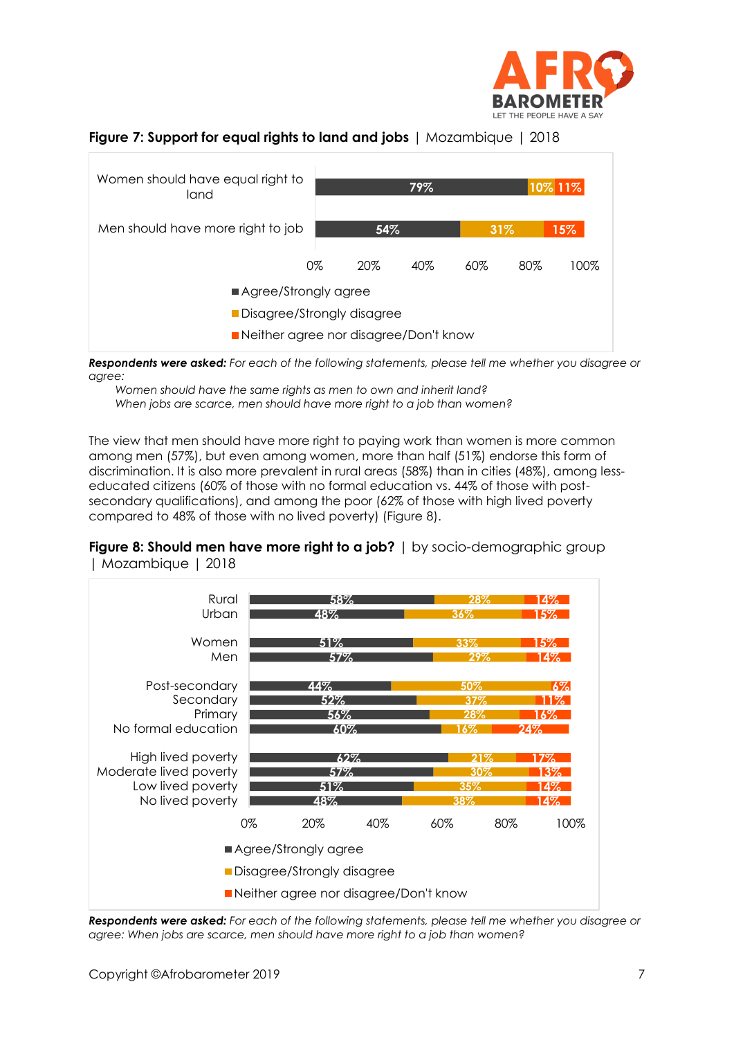



#### **Figure 7: Support for equal rights to land and jobs** | Mozambique | 2018

*Respondents were asked: For each of the following statements, please tell me whether you disagree or agree:*

*Women should have the same rights as men to own and inherit land? When jobs are scarce, men should have more right to a job than women?*

The view that men should have more right to paying work than women is more common among men (57%), but even among women, more than half (51%) endorse this form of discrimination. It is also more prevalent in rural areas (58%) than in cities (48%), among lesseducated citizens (60% of those with no formal education vs. 44% of those with postsecondary qualifications), and among the poor (62% of those with high lived poverty compared to 48% of those with no lived poverty) (Figure 8).





*Respondents were asked: For each of the following statements, please tell me whether you disagree or agree: When jobs are scarce, men should have more right to a job than women?*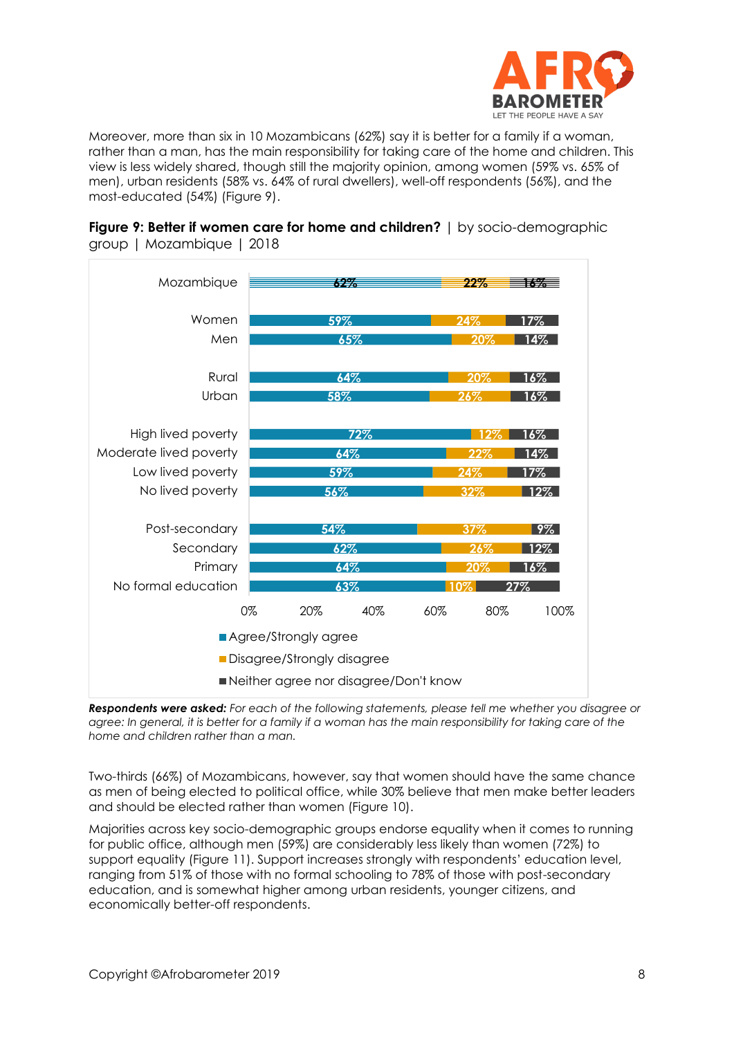

Moreover, more than six in 10 Mozambicans (62%) say it is better for a family if a woman, rather than a man, has the main responsibility for taking care of the home and children. This view is less widely shared, though still the majority opinion, among women (59% vs. 65% of men), urban residents (58% vs. 64% of rural dwellers), well-off respondents (56%), and the most-educated (54%) (Figure 9).



|                           | <b>Figure 9: Better if women care for home and children?</b>   by socio-demographic |  |
|---------------------------|-------------------------------------------------------------------------------------|--|
| group   Mozambique   2018 |                                                                                     |  |

*Respondents were asked: For each of the following statements, please tell me whether you disagree or agree: In general, it is better for a family if a woman has the main responsibility for taking care of the home and children rather than a man.*

Two-thirds (66%) of Mozambicans, however, say that women should have the same chance as men of being elected to political office, while 30% believe that men make better leaders and should be elected rather than women (Figure 10).

Majorities across key socio-demographic groups endorse equality when it comes to running for public office, although men (59%) are considerably less likely than women (72%) to support equality (Figure 11). Support increases strongly with respondents' education level, ranging from 51% of those with no formal schooling to 78% of those with post-secondary education, and is somewhat higher among urban residents, younger citizens, and economically better-off respondents.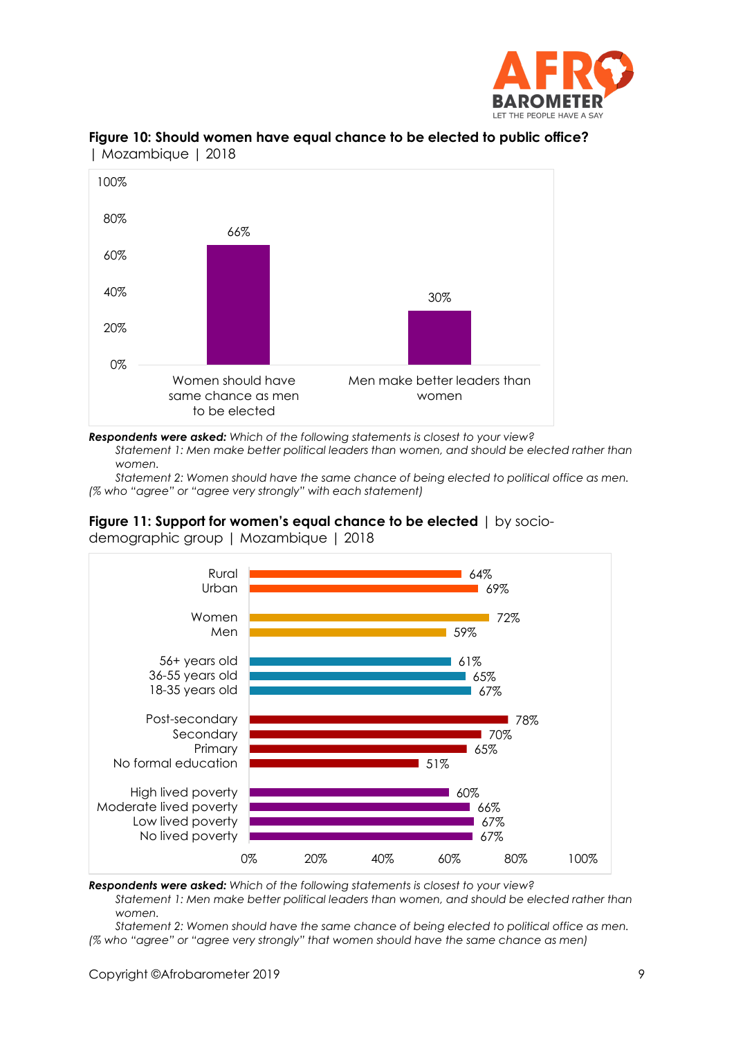



#### **Figure 10: Should women have equal chance to be elected to public office?**  | Mozambique | 2018

*Respondents were asked: Which of the following statements is closest to your view?* 

*Statement 1: Men make better political leaders than women, and should be elected rather than women.* 

*Statement 2: Women should have the same chance of being elected to political office as men. (% who "agree" or "agree very strongly" with each statement)*

## **Figure 11: Support for women's equal chance to be elected** | by socio-



demographic group | Mozambique | 2018

*Respondents were asked: Which of the following statements is closest to your view?*

*Statement 1: Men make better political leaders than women, and should be elected rather than women.* 

*Statement 2: Women should have the same chance of being elected to political office as men. (% who "agree" or "agree very strongly" that women should have the same chance as men)*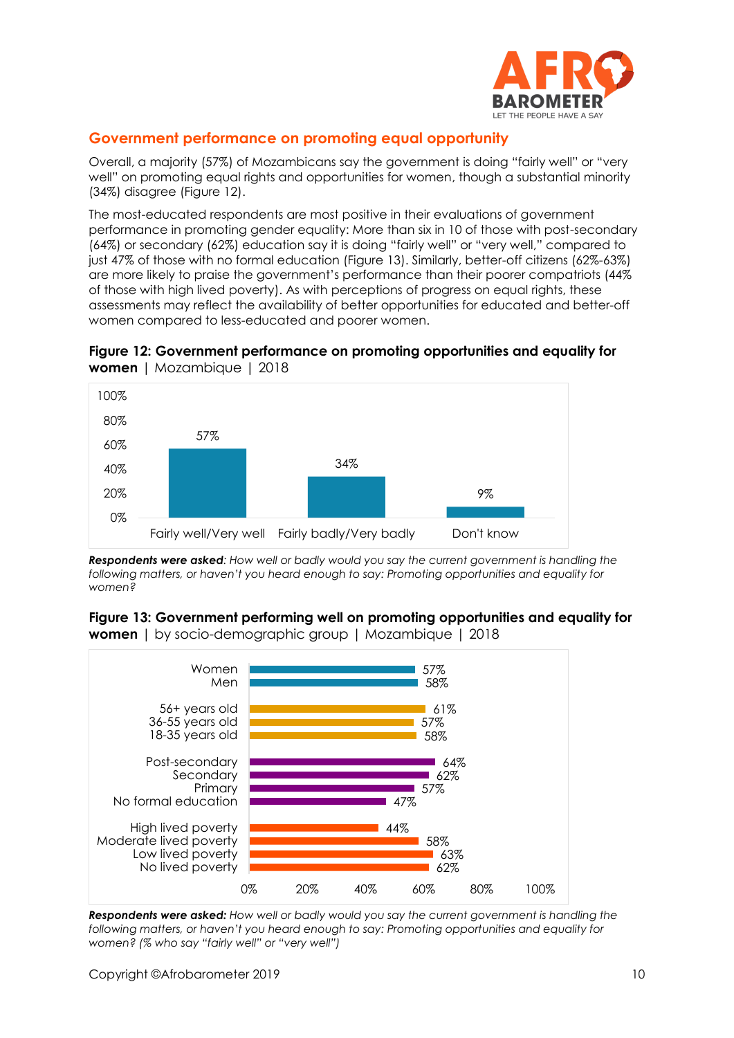

## **Government performance on promoting equal opportunity**

Overall, a majority (57%) of Mozambicans say the government is doing "fairly well" or "very well" on promoting equal rights and opportunities for women, though a substantial minority (34%) disagree (Figure 12).

The most-educated respondents are most positive in their evaluations of government performance in promoting gender equality: More than six in 10 of those with post-secondary (64%) or secondary (62%) education say it is doing "fairly well" or "very well," compared to just 47% of those with no formal education (Figure 13). Similarly, better-off citizens (62%-63%) are more likely to praise the government's performance than their poorer compatriots (44% of those with high lived poverty). As with perceptions of progress on equal rights, these assessments may reflect the availability of better opportunities for educated and better-off women compared to less-educated and poorer women.





*Respondents were asked: How well or badly would you say the current government is handling the following matters, or haven't you heard enough to say: Promoting opportunities and equality for women?*

**Figure 13: Government performing well on promoting opportunities and equality for women** | by socio-demographic group | Mozambique | 2018



*Respondents were asked: How well or badly would you say the current government is handling the following matters, or haven't you heard enough to say: Promoting opportunities and equality for women? (% who say "fairly well" or "very well")*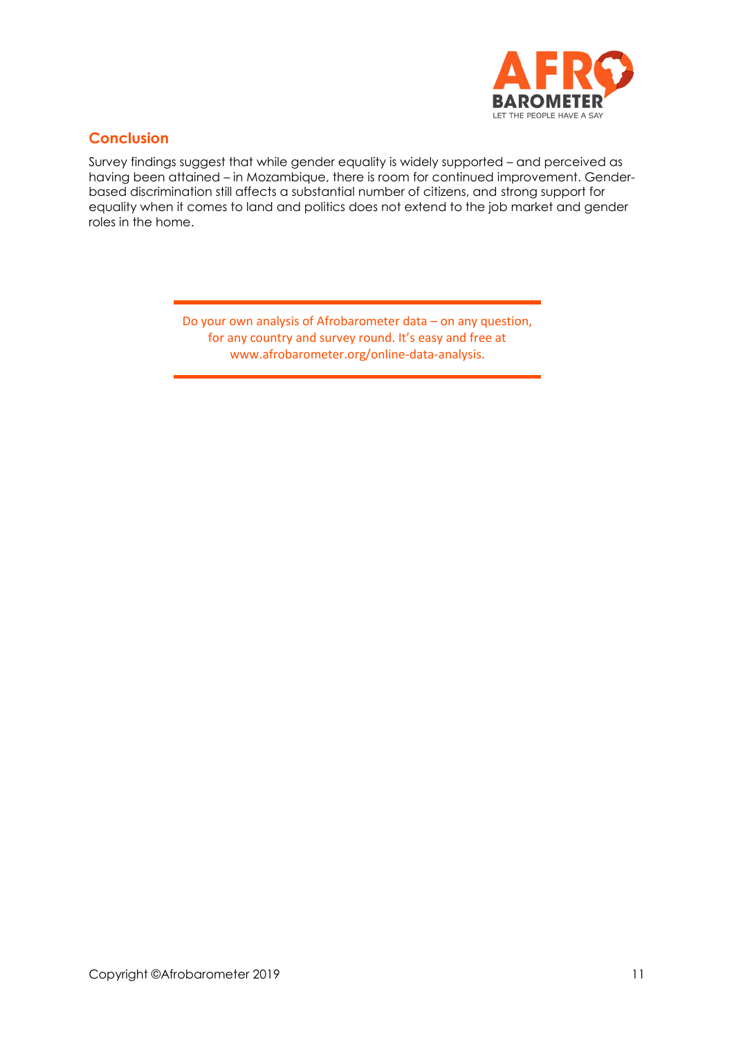

## **Conclusion**

Survey findings suggest that while gender equality is widely supported – and perceived as having been attained – in Mozambique, there is room for continued improvement. Genderbased discrimination still affects a substantial number of citizens, and strong support for equality when it comes to land and politics does not extend to the job market and gender roles in the home.

> Do your own analysis of Afrobarometer data – on any question, for any country and survey round. It's easy and free at www.afrobarometer.org/online-data-analysis.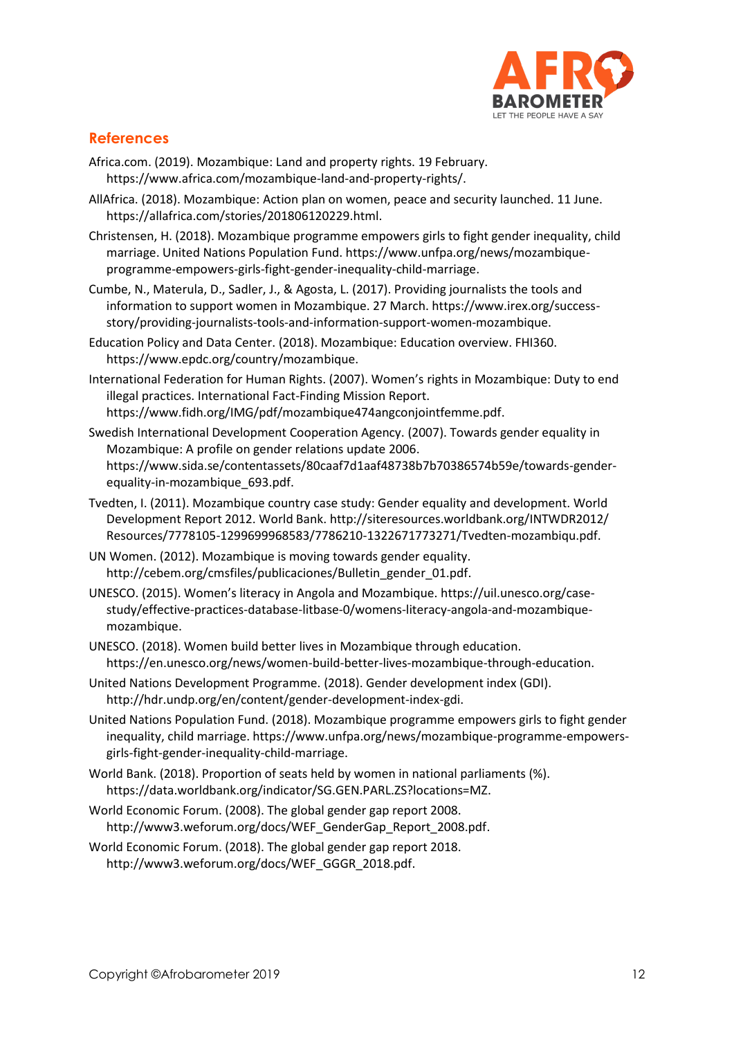

## **References**

- Africa.com. (2019). Mozambique: Land and property rights. 19 February. https://www.africa.com/mozambique-land-and-property-rights/.
- AllAfrica. (2018). Mozambique: Action plan on women, peace and security launched. 11 June. [https://allafrica.com/stories/201806120229.html.](https://allafrica.com/stories/201806120229.html)
- Christensen, H. (2018). Mozambique programme empowers girls to fight gender inequality, child marriage. United Nations Population Fund. [https://www.unfpa.org/news/mozambique](https://www.unfpa.org/news/mozambique-programme-empowers-girls-fight-gender-inequality-child-marriage)[programme-empowers-girls-fight-gender-inequality-child-marriage.](https://www.unfpa.org/news/mozambique-programme-empowers-girls-fight-gender-inequality-child-marriage)
- Cumbe, N., Materula, D., Sadler, J., & Agosta, L. (2017). Providing journalists the tools and information to support women in Mozambique. 27 March. https://www.irex.org/successstory/providing-journalists-tools-and-information-support-women-mozambique.
- Education Policy and Data Center. (2018). Mozambique: Education overview. FHI360. https://www.epdc.org/country/mozambique.
- International Federation for Human Rights. (2007). Women's rights in Mozambique: Duty to end illegal practices. International Fact-Finding Mission Report. https://www.fidh.org/IMG/pdf/mozambique474angconjointfemme.pdf.
- Swedish International Development Cooperation Agency. (2007). Towards gender equality in Mozambique: A profile on gender relations update 2006. https://www.sida.se/contentassets/80caaf7d1aaf48738b7b70386574b59e/towards-genderequality-in-mozambique\_693.pdf.
- Tvedten, I. (2011). Mozambique country case study: Gender equality and development. World Development Report 2012. World Bank[. http://siteresources.worldbank.org/INTWDR2012/](http://siteresources.worldbank.org/INTWDR2012/) Resources/7778105-1299699968583/7786210-1322671773271/Tvedten-mozambiqu.pdf.
- UN Women. (2012). Mozambique is moving towards gender equality. [http://cebem.org/cmsfiles/publicaciones/Bulletin\\_gender\\_01.pdf.](http://cebem.org/cmsfiles/publicaciones/Bulletin_gender_01.pdf)
- UNESCO. (2015). Women's literacy in Angola and Mozambique. https://uil.unesco.org/casestudy/effective-practices-database-litbase-0/womens-literacy-angola-and-mozambiquemozambique.
- UNESCO. (2018). Women build better lives in Mozambique through education. https://en.unesco.org/news/women-build-better-lives-mozambique-through-education.
- United Nations Development Programme. (2018). Gender development index (GDI). http://hdr.undp.org/en/content/gender-development-index-gdi.
- United Nations Population Fund. (2018). Mozambique programme empowers girls to fight gender inequality, child marriage. https://www.unfpa.org/news/mozambique-programme-empowersgirls-fight-gender-inequality-child-marriage.
- World Bank. (2018). Proportion of seats held by women in national parliaments (%). https://data.worldbank.org/indicator/SG.GEN.PARL.ZS?locations=MZ.
- World Economic Forum. (2008). The global gender gap report 2008. http://www3.weforum.org/docs/WEF\_GenderGap\_Report\_2008.pdf.
- World Economic Forum. (2018). The global gender gap report 2018. http://www3.weforum.org/docs/WEF\_GGGR\_2018.pdf.